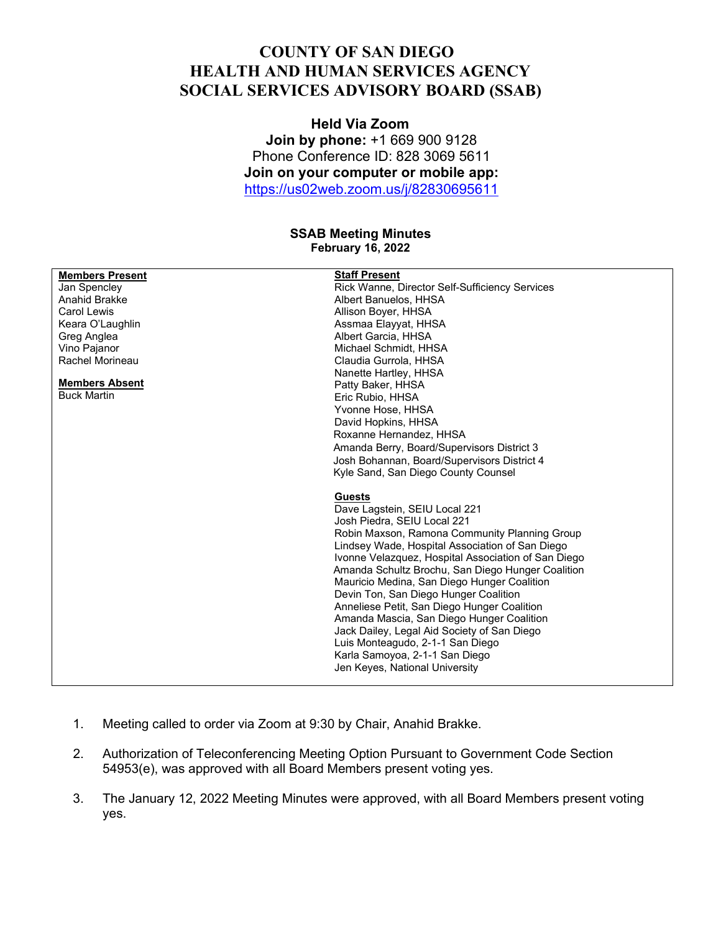## **COUNTY OF SAN DIEGO HEALTH AND HUMAN SERVICES AGENCY SOCIAL SERVICES ADVISORY BOARD (SSAB)**

**Held Via Zoom Join by phone:** +1 669 900 9128 Phone Conference ID: 828 3069 5611 **Join on your computer or mobile app:** <https://us02web.zoom.us/j/82830695611>

## **SSAB Meeting Minutes February 16, 2022**

| <b>Members Present</b> | <b>Staff Present</b>                                |
|------------------------|-----------------------------------------------------|
| Jan Spencley           | Rick Wanne, Director Self-Sufficiency Services      |
| Anahid Brakke          | Albert Banuelos, HHSA                               |
| Carol Lewis            | Allison Boyer, HHSA                                 |
| Keara O'Laughlin       | Assmaa Elayyat, HHSA                                |
| Greg Anglea            | Albert Garcia, HHSA                                 |
| Vino Pajanor           | Michael Schmidt. HHSA                               |
| Rachel Morineau        | Claudia Gurrola, HHSA                               |
|                        | Nanette Hartley, HHSA                               |
| <b>Members Absent</b>  | Patty Baker, HHSA                                   |
| <b>Buck Martin</b>     | Eric Rubio, HHSA                                    |
|                        | Yvonne Hose, HHSA                                   |
|                        | David Hopkins, HHSA                                 |
|                        | Roxanne Hernandez, HHSA                             |
|                        | Amanda Berry, Board/Supervisors District 3          |
|                        | Josh Bohannan, Board/Supervisors District 4         |
|                        | Kyle Sand, San Diego County Counsel                 |
|                        |                                                     |
|                        | <b>Guests</b>                                       |
|                        | Dave Lagstein, SEIU Local 221                       |
|                        | Josh Piedra, SEIU Local 221                         |
|                        | Robin Maxson, Ramona Community Planning Group       |
|                        | Lindsey Wade, Hospital Association of San Diego     |
|                        | Ivonne Velazquez, Hospital Association of San Diego |
|                        | Amanda Schultz Brochu, San Diego Hunger Coalition   |
|                        | Mauricio Medina, San Diego Hunger Coalition         |
|                        | Devin Ton, San Diego Hunger Coalition               |
|                        | Anneliese Petit, San Diego Hunger Coalition         |
|                        | Amanda Mascia, San Diego Hunger Coalition           |
|                        | Jack Dailey, Legal Aid Society of San Diego         |
|                        | Luis Monteagudo, 2-1-1 San Diego                    |
|                        | Karla Samoyoa, 2-1-1 San Diego                      |
|                        | Jen Keyes, National University                      |
|                        |                                                     |

- 1. Meeting called to order via Zoom at 9:30 by Chair, Anahid Brakke.
- 2. Authorization of Teleconferencing Meeting Option Pursuant to Government Code Section 54953(e), was approved with all Board Members present voting yes.
- 3. The January 12, 2022 Meeting Minutes were approved, with all Board Members present voting yes.